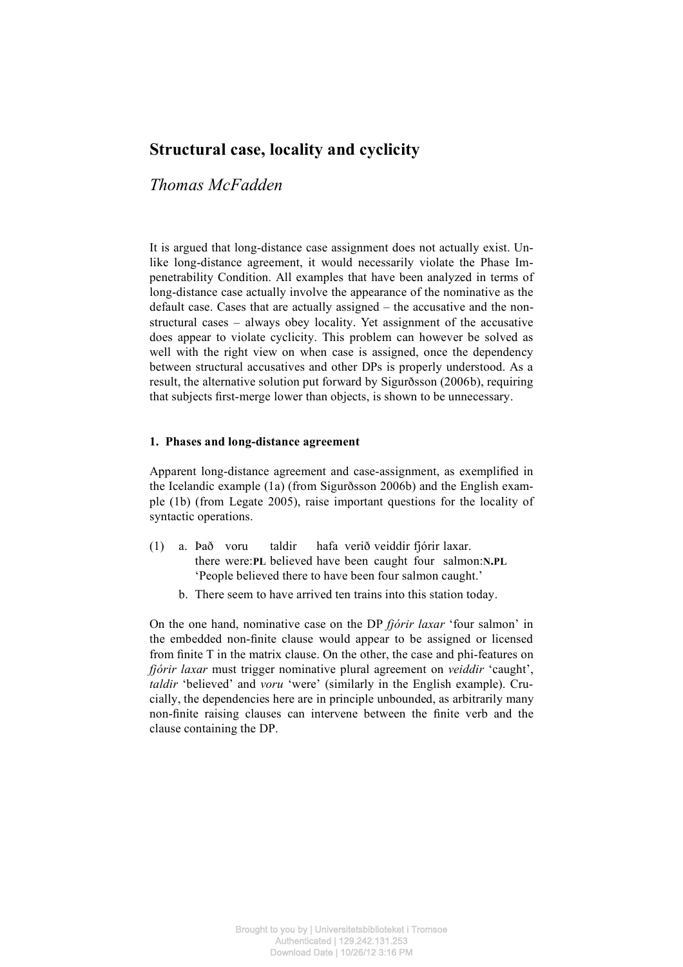# **Structural case, locality and cyclicity**

*Thomas McFadden* 

It is argued that long-distance case assignment does not actually exist. Unlike long-distance agreement, it would necessarily violate the Phase Impenetrability Condition. All examples that have been analyzed in terms of long-distance case actually involve the appearance of the nominative as the default case. Cases that are actually assigned – the accusative and the nonstructural cases – always obey locality. Yet assignment of the accusative does appear to violate cyclicity. This problem can however be solved as well with the right view on when case is assigned, once the dependency between structural accusatives and other DPs is properly understood. As a result, the alternative solution put forward by Sigurðsson (2006b), requiring that subjects first-merge lower than objects, is shown to be unnecessary.

## **1. Phases and long-distance agreement**

Apparent long-distance agreement and case-assignment, as exemplified in the Icelandic example (1a) (from Sigurðsson 2006b) and the English example (1b) (from Legate 2005), raise important questions for the locality of syntactic operations.

- (1) a. Það voru taldir hafa verið veiddir fjórir laxar. there were:**PL** believed have been caught four salmon:**N.PL**  'People believed there to have been four salmon caught.'
	- b. There seem to have arrived ten trains into this station today.

On the one hand, nominative case on the DP *fjórir laxar* 'four salmon' in the embedded non-finite clause would appear to be assigned or licensed from finite T in the matrix clause. On the other, the case and phi-features on *fjórir laxar* must trigger nominative plural agreement on *veiddir* 'caught', *taldir* 'believed' and *voru* 'were' (similarly in the English example). Crucially, the dependencies here are in principle unbounded, as arbitrarily many non-finite raising clauses can intervene between the finite verb and the clause containing the DP.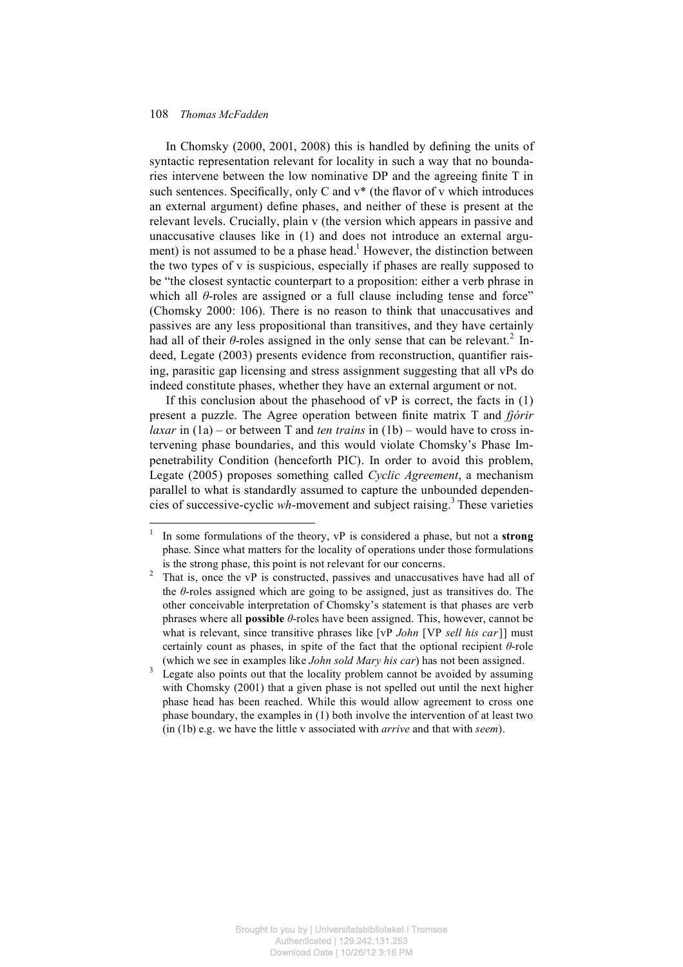In Chomsky (2000, 2001, 2008) this is handled by defining the units of syntactic representation relevant for locality in such a way that no boundaries intervene between the low nominative DP and the agreeing finite T in such sentences. Specifically, only C and  $v^*$  (the flavor of v which introduces an external argument) define phases, and neither of these is present at the relevant levels. Crucially, plain v (the version which appears in passive and unaccusative clauses like in (1) and does not introduce an external argument) is not assumed to be a phase head.<sup>1</sup> However, the distinction between the two types of v is suspicious, especially if phases are really supposed to be "the closest syntactic counterpart to a proposition: either a verb phrase in which all *θ*-roles are assigned or a full clause including tense and force" (Chomsky 2000: 106). There is no reason to think that unaccusatives and passives are any less propositional than transitives, and they have certainly had all of their  $\theta$ -roles assigned in the only sense that can be relevant.<sup>2</sup> Indeed, Legate (2003) presents evidence from reconstruction, quantifier raising, parasitic gap licensing and stress assignment suggesting that all vPs do indeed constitute phases, whether they have an external argument or not.

If this conclusion about the phasehood of  $vP$  is correct, the facts in  $(1)$ present a puzzle. The Agree operation between finite matrix T and *fjórir laxar* in (1a) – or between T and *ten trains* in (1b) – would have to cross intervening phase boundaries, and this would violate Chomsky's Phase Impenetrability Condition (henceforth PIC). In order to avoid this problem, Legate (2005) proposes something called *Cyclic Agreement*, a mechanism parallel to what is standardly assumed to capture the unbounded dependencies of successive-cyclic *wh*-movement and subject raising.<sup>3</sup> These varieties

 <sup>1</sup> In some formulations of the theory, vP is considered a phase, but not a **strong**  phase. Since what matters for the locality of operations under those formulations is the strong phase, this point is not relevant for our concerns.

<sup>&</sup>lt;sup>2</sup> That is, once the vP is constructed, passives and unaccusatives have had all of the *θ*-roles assigned which are going to be assigned, just as transitives do. The other conceivable interpretation of Chomsky's statement is that phases are verb phrases where all **possible** *θ*-roles have been assigned. This, however, cannot be what is relevant, since transitive phrases like [vP *John* [VP *sell his car*]] must certainly count as phases, in spite of the fact that the optional recipient *θ*-role (which we see in examples like *John sold Mary his car*) has not been assigned.

<sup>&</sup>lt;sup>3</sup> Legate also points out that the locality problem cannot be avoided by assuming with Chomsky (2001) that a given phase is not spelled out until the next higher phase head has been reached. While this would allow agreement to cross one phase boundary, the examples in (1) both involve the intervention of at least two (in (1b) e.g. we have the little v associated with *arrive* and that with *seem*).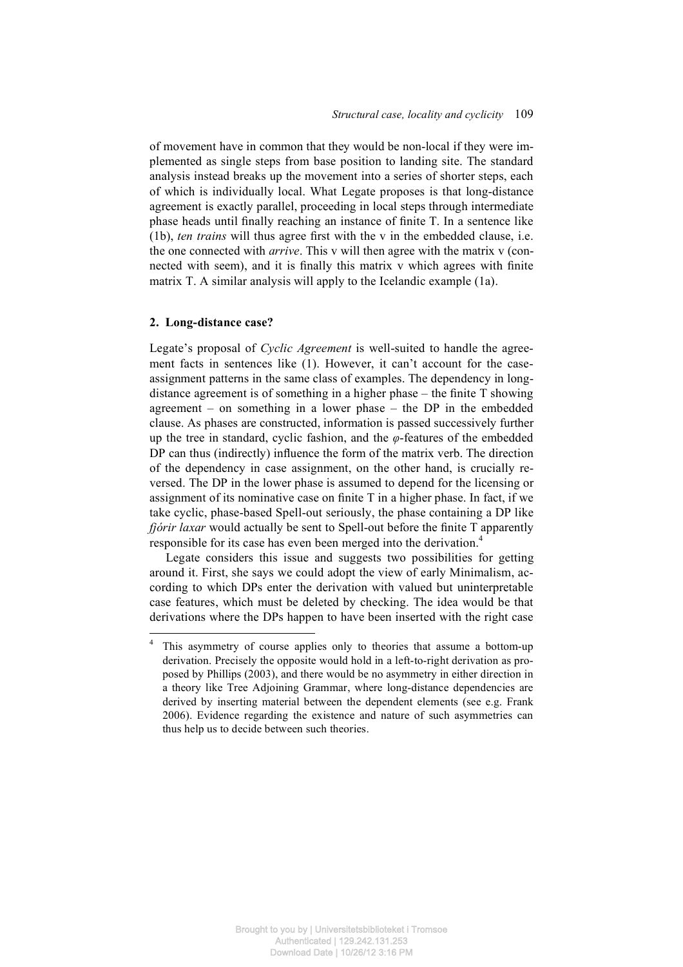of movement have in common that they would be non-local if they were implemented as single steps from base position to landing site. The standard analysis instead breaks up the movement into a series of shorter steps, each of which is individually local. What Legate proposes is that long-distance agreement is exactly parallel, proceeding in local steps through intermediate phase heads until finally reaching an instance of finite T. In a sentence like (1b), *ten trains* will thus agree first with the v in the embedded clause, i.e. the one connected with *arrive*. This v will then agree with the matrix v (connected with seem), and it is finally this matrix v which agrees with finite matrix T. A similar analysis will apply to the Icelandic example (1a).

### **2. Long-distance case?**

Legate's proposal of *Cyclic Agreement* is well-suited to handle the agreement facts in sentences like (1). However, it can't account for the caseassignment patterns in the same class of examples. The dependency in longdistance agreement is of something in a higher phase – the finite T showing agreement – on something in a lower phase – the DP in the embedded clause. As phases are constructed, information is passed successively further up the tree in standard, cyclic fashion, and the *φ*-features of the embedded DP can thus (indirectly) influence the form of the matrix verb. The direction of the dependency in case assignment, on the other hand, is crucially reversed. The DP in the lower phase is assumed to depend for the licensing or assignment of its nominative case on finite T in a higher phase. In fact, if we take cyclic, phase-based Spell-out seriously, the phase containing a DP like *fjórir laxar* would actually be sent to Spell-out before the finite T apparently responsible for its case has even been merged into the derivation.<sup>4</sup>

Legate considers this issue and suggests two possibilities for getting around it. First, she says we could adopt the view of early Minimalism, according to which DPs enter the derivation with valued but uninterpretable case features, which must be deleted by checking. The idea would be that derivations where the DPs happen to have been inserted with the right case

This asymmetry of course applies only to theories that assume a bottom-up derivation. Precisely the opposite would hold in a left-to-right derivation as proposed by Phillips (2003), and there would be no asymmetry in either direction in a theory like Tree Adjoining Grammar, where long-distance dependencies are derived by inserting material between the dependent elements (see e.g. Frank 2006). Evidence regarding the existence and nature of such asymmetries can thus help us to decide between such theories.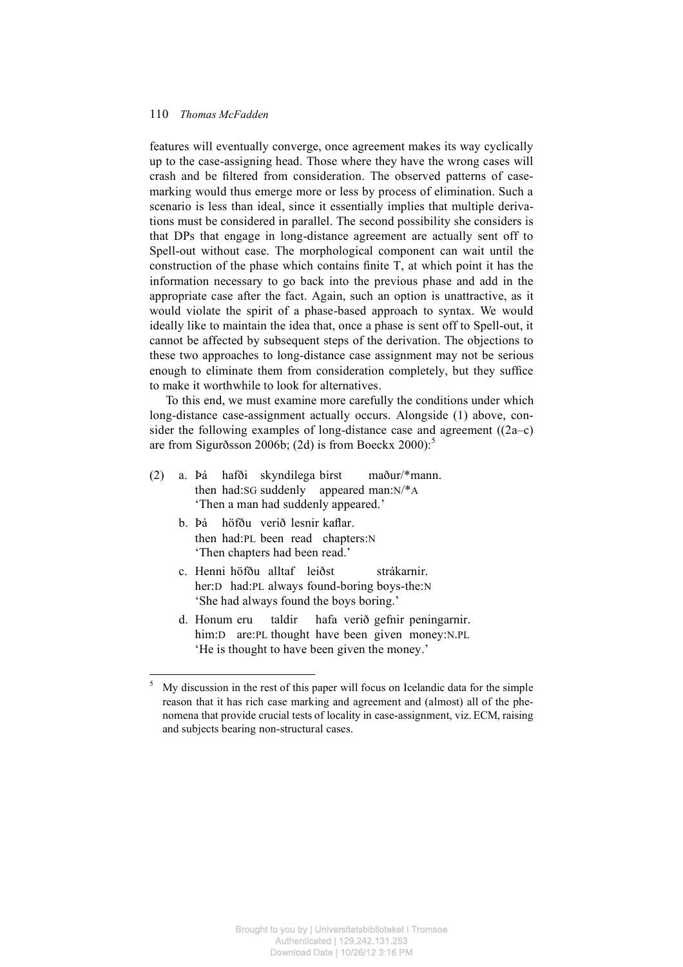features will eventually converge, once agreement makes its way cyclically up to the case-assigning head. Those where they have the wrong cases will crash and be filtered from consideration. The observed patterns of casemarking would thus emerge more or less by process of elimination. Such a scenario is less than ideal, since it essentially implies that multiple derivations must be considered in parallel. The second possibility she considers is that DPs that engage in long-distance agreement are actually sent off to Spell-out without case. The morphological component can wait until the construction of the phase which contains finite T, at which point it has the information necessary to go back into the previous phase and add in the appropriate case after the fact. Again, such an option is unattractive, as it would violate the spirit of a phase-based approach to syntax. We would ideally like to maintain the idea that, once a phase is sent off to Spell-out, it cannot be affected by subsequent steps of the derivation. The objections to these two approaches to long-distance case assignment may not be serious enough to eliminate them from consideration completely, but they suffice to make it worthwhile to look for alternatives.

To this end, we must examine more carefully the conditions under which long-distance case-assignment actually occurs. Alongside (1) above, consider the following examples of long-distance case and agreement  $((2a-c)$ are from Sigurðsson 2006b; (2d) is from Boeckx 2000):<sup>5</sup>

- (2) a. Þá hafði skyndilega birst maður/\*mann. then had:SG suddenly appeared man:N/\*A 'Then a man had suddenly appeared.'
	- b. Þá höfðu verið lesnir kaflar. then had:PL been read chapters:N 'Then chapters had been read.'
	- c. Henni höfðu alltaf leiðst strákarnir. her:D had:PL always found-boring boys-the:N 'She had always found the boys boring.'
	- d. Honum eru taldir hafa verið gefnir peningarnir. him:D are:PL thought have been given money:N.PL 'He is thought to have been given the money.'

 $5$  My discussion in the rest of this paper will focus on Icelandic data for the simple reason that it has rich case marking and agreement and (almost) all of the phenomena that provide crucial tests of locality in case-assignment, viz. ECM, raising and subjects bearing non-structural cases.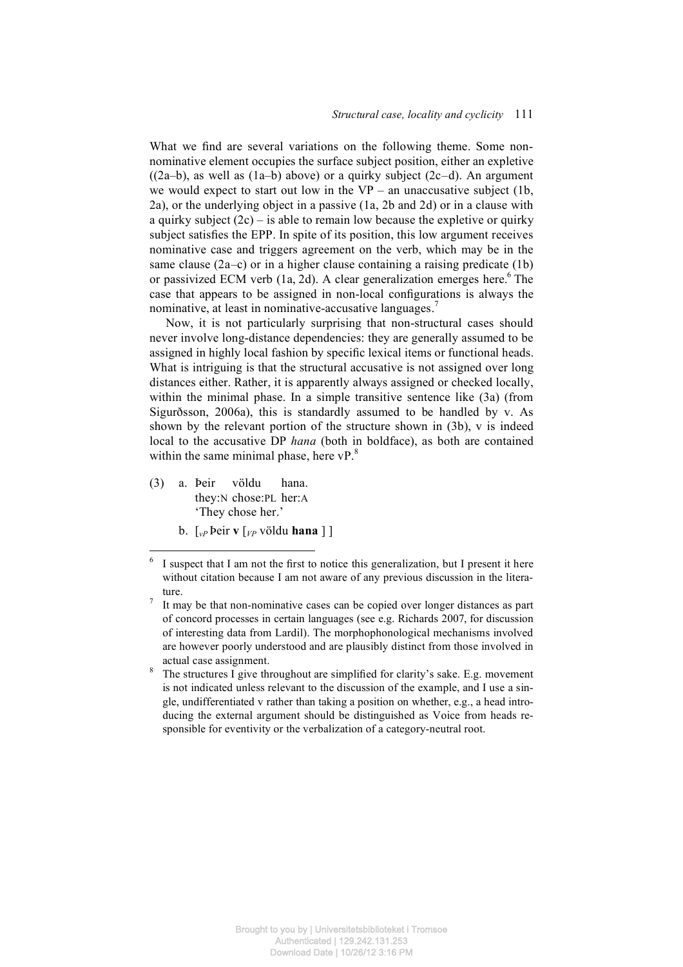What we find are several variations on the following theme. Some nonnominative element occupies the surface subject position, either an expletive  $((2a-b)$ , as well as  $(1a-b)$  above) or a quirky subject  $(2c-d)$ . An argument we would expect to start out low in the  $VP -$  an unaccusative subject (1b, 2a), or the underlying object in a passive (1a, 2b and 2d) or in a clause with a quirky subject  $(2c)$  – is able to remain low because the expletive or quirky subject satisfies the EPP. In spite of its position, this low argument receives nominative case and triggers agreement on the verb, which may be in the same clause (2a–c) or in a higher clause containing a raising predicate (1b) or passivized ECM verb  $(1a, 2d)$ . A clear generalization emerges here.<sup>6</sup> The case that appears to be assigned in non-local configurations is always the nominative, at least in nominative-accusative languages.<sup>7</sup>

Now, it is not particularly surprising that non-structural cases should never involve long-distance dependencies: they are generally assumed to be assigned in highly local fashion by specific lexical items or functional heads. What is intriguing is that the structural accusative is not assigned over long distances either. Rather, it is apparently always assigned or checked locally, within the minimal phase. In a simple transitive sentence like (3a) (from Sigurðsson, 2006a), this is standardly assumed to be handled by v. As shown by the relevant portion of the structure shown in (3b), v is indeed local to the accusative DP *hana* (both in boldface), as both are contained within the same minimal phase, here  $vP<sup>8</sup>$ 

- (3) a. Þeir völdu hana. they:N chose:PL her:A 'They chose her.'
	- b. [*vP* Þeir **v** [*VP* völdu **hana** ] ]

I suspect that I am not the first to notice this generalization, but I present it here without citation because I am not aware of any previous discussion in the literature.

 $\frac{7}{1}$  It may be that non-nominative cases can be copied over longer distances as part of concord processes in certain languages (see e.g. Richards 2007, for discussion of interesting data from Lardil). The morphophonological mechanisms involved are however poorly understood and are plausibly distinct from those involved in actual case assignment.

<sup>&</sup>lt;sup>8</sup> The structures I give throughout are simplified for clarity's sake. E.g. movement is not indicated unless relevant to the discussion of the example, and I use a single, undifferentiated v rather than taking a position on whether, e.g., a head introducing the external argument should be distinguished as Voice from heads responsible for eventivity or the verbalization of a category-neutral root.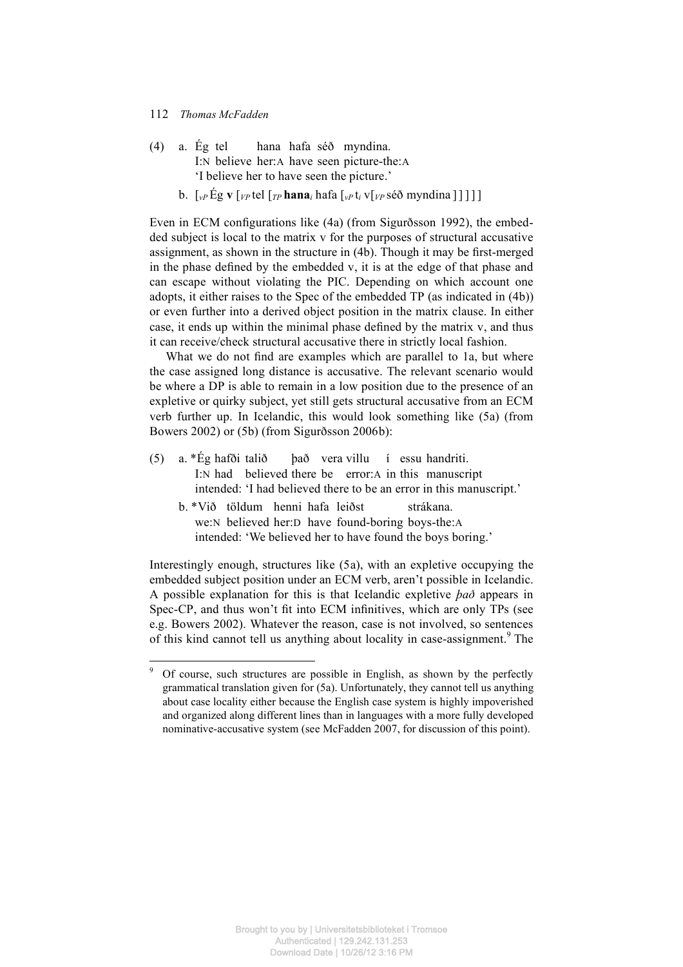- (4) a. Ég tel hana hafa séð myndina. I:N believe her:A have seen picture-the:A 'I believe her to have seen the picture.'
	- b.  $\left[\sqrt{p} \tilde{E} \mathbf{g} \mathbf{v} \left[\sqrt{p} t e \mathbf{h} \mathbf{a} \mathbf{n} \mathbf{a}_i \right] \mathbf{a}_i \mathbf{a}_i \left[\sqrt{p} t_i \mathbf{v} \left[\sqrt{p} t e \mathbf{b} \mathbf{a}_i \mathbf{b}_i \right] \right] \right]$

Even in ECM configurations like (4a) (from Sigurðsson 1992), the embedded subject is local to the matrix v for the purposes of structural accusative assignment, as shown in the structure in (4b). Though it may be first-merged in the phase defined by the embedded v, it is at the edge of that phase and can escape without violating the PIC. Depending on which account one adopts, it either raises to the Spec of the embedded TP (as indicated in (4b)) or even further into a derived object position in the matrix clause. In either case, it ends up within the minimal phase defined by the matrix v, and thus it can receive/check structural accusative there in strictly local fashion.

What we do not find are examples which are parallel to 1a, but where the case assigned long distance is accusative. The relevant scenario would be where a DP is able to remain in a low position due to the presence of an expletive or quirky subject, yet still gets structural accusative from an ECM verb further up. In Icelandic, this would look something like (5a) (from Bowers 2002) or (5b) (from Sigurðsson 2006b):

- (5) a. \*Ég hafði talið það vera villu í essu handriti. I:N had believed there be error:A in this manuscript intended: 'I had believed there to be an error in this manuscript.'
	- b. \*Við töldum henni hafa leiðst strákana. we:N believed her:D have found-boring boys-the:A intended: 'We believed her to have found the boys boring.'

Interestingly enough, structures like (5a), with an expletive occupying the embedded subject position under an ECM verb, aren't possible in Icelandic. A possible explanation for this is that Icelandic expletive *það* appears in Spec-CP, and thus won't fit into ECM infinitives, which are only TPs (see e.g. Bowers 2002). Whatever the reason, case is not involved, so sentences of this kind cannot tell us anything about locality in case-assignment.<sup>9</sup> The

 <sup>9</sup> Of course, such structures are possible in English, as shown by the perfectly grammatical translation given for (5a). Unfortunately, they cannot tell us anything about case locality either because the English case system is highly impoverished and organized along different lines than in languages with a more fully developed nominative-accusative system (see McFadden 2007, for discussion of this point).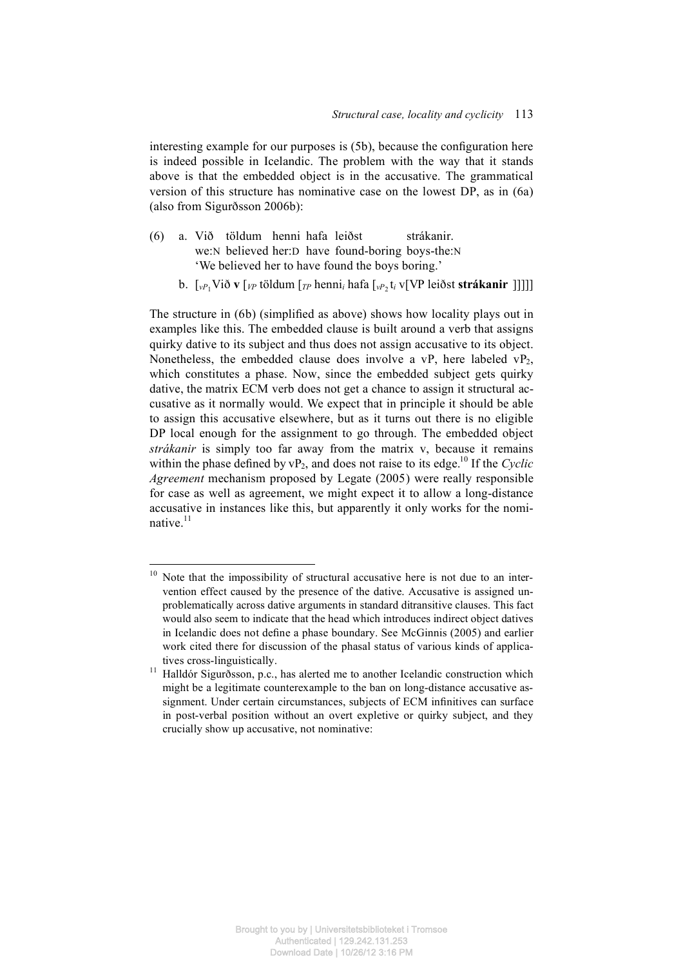interesting example for our purposes is (5b), because the configuration here is indeed possible in Icelandic. The problem with the way that it stands above is that the embedded object is in the accusative. The grammatical version of this structure has nominative case on the lowest DP, as in (6a) (also from Sigurðsson 2006b):

- (6) a. Við töldum henni hafa leiðst strákanir. we:N believed her:D have found-boring boys-the:N 'We believed her to have found the boys boring.'
	- b. [*vP*1Við **v** [*VP* töldum [*TP* henni*<sup>i</sup>* hafa [*vP*<sup>2</sup> t*<sup>i</sup>* v[VP leiðst **strákanir** ]]]]]

The structure in (6b) (simplified as above) shows how locality plays out in examples like this. The embedded clause is built around a verb that assigns quirky dative to its subject and thus does not assign accusative to its object. Nonetheless, the embedded clause does involve a  $vP$ , here labeled  $vP_2$ , which constitutes a phase. Now, since the embedded subject gets quirky dative, the matrix ECM verb does not get a chance to assign it structural accusative as it normally would. We expect that in principle it should be able to assign this accusative elsewhere, but as it turns out there is no eligible DP local enough for the assignment to go through. The embedded object *strákanir* is simply too far away from the matrix v, because it remains within the phase defined by  $vP_2$ , and does not raise to its edge.<sup>10</sup> If the *Cyclic Agreement* mechanism proposed by Legate (2005) were really responsible for case as well as agreement, we might expect it to allow a long-distance accusative in instances like this, but apparently it only works for the nominative.<sup>11</sup>

 $10$  Note that the impossibility of structural accusative here is not due to an intervention effect caused by the presence of the dative. Accusative is assigned unproblematically across dative arguments in standard ditransitive clauses. This fact would also seem to indicate that the head which introduces indirect object datives in Icelandic does not define a phase boundary. See McGinnis (2005) and earlier work cited there for discussion of the phasal status of various kinds of applicatives cross-linguistically.

<sup>&</sup>lt;sup>11</sup> Halldór Sigurðsson, p.c., has alerted me to another Icelandic construction which might be a legitimate counterexample to the ban on long-distance accusative assignment. Under certain circumstances, subjects of ECM infinitives can surface in post-verbal position without an overt expletive or quirky subject, and they crucially show up accusative, not nominative: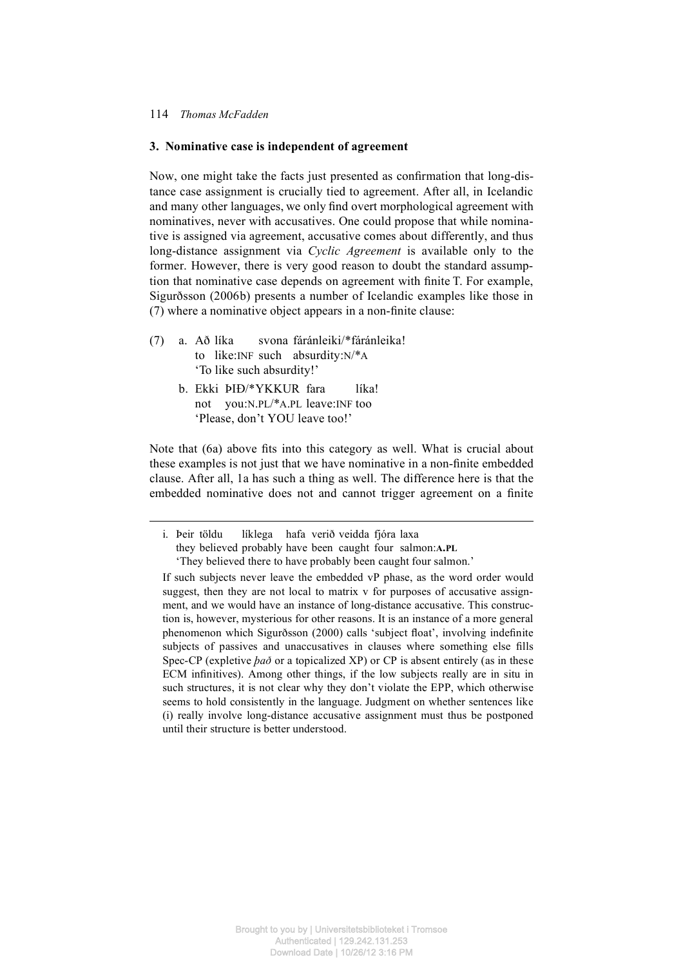l

### **3. Nominative case is independent of agreement**

Now, one might take the facts just presented as confirmation that long-distance case assignment is crucially tied to agreement. After all, in Icelandic and many other languages, we only find overt morphological agreement with nominatives, never with accusatives. One could propose that while nominative is assigned via agreement, accusative comes about differently, and thus long-distance assignment via *Cyclic Agreement* is available only to the former. However, there is very good reason to doubt the standard assumption that nominative case depends on agreement with finite T. For example, Sigurðsson (2006b) presents a number of Icelandic examples like those in (7) where a nominative object appears in a non-finite clause:

- (7) a. Að líka svona fáránleiki/\*fáránleika! to like:INF such absurdity:N/\*A 'To like such absurdity!'
	- b. Ekki ÞIÐ/\*YKKUR fara líka! not you:N.PL/\*A.PL leave:INF too 'Please, don't YOU leave too!'

Note that (6a) above fits into this category as well. What is crucial about these examples is not just that we have nominative in a non-finite embedded clause. After all, 1a has such a thing as well. The difference here is that the embedded nominative does not and cannot trigger agreement on a finite

i. Þeir töldu líklega hafa verið veidda fjóra laxa they believed probably have been caught four salmon:**A.PL** 'They believed there to have probably been caught four salmon.'

If such subjects never leave the embedded vP phase, as the word order would suggest, then they are not local to matrix v for purposes of accusative assignment, and we would have an instance of long-distance accusative. This construction is, however, mysterious for other reasons. It is an instance of a more general phenomenon which Sigurðsson (2000) calls 'subject float', involving indefinite subjects of passives and unaccusatives in clauses where something else fills Spec-CP (expletive *bað* or a topicalized XP) or CP is absent entirely (as in these ECM infinitives). Among other things, if the low subjects really are in situ in such structures, it is not clear why they don't violate the EPP, which otherwise seems to hold consistently in the language. Judgment on whether sentences like (i) really involve long-distance accusative assignment must thus be postponed until their structure is better understood.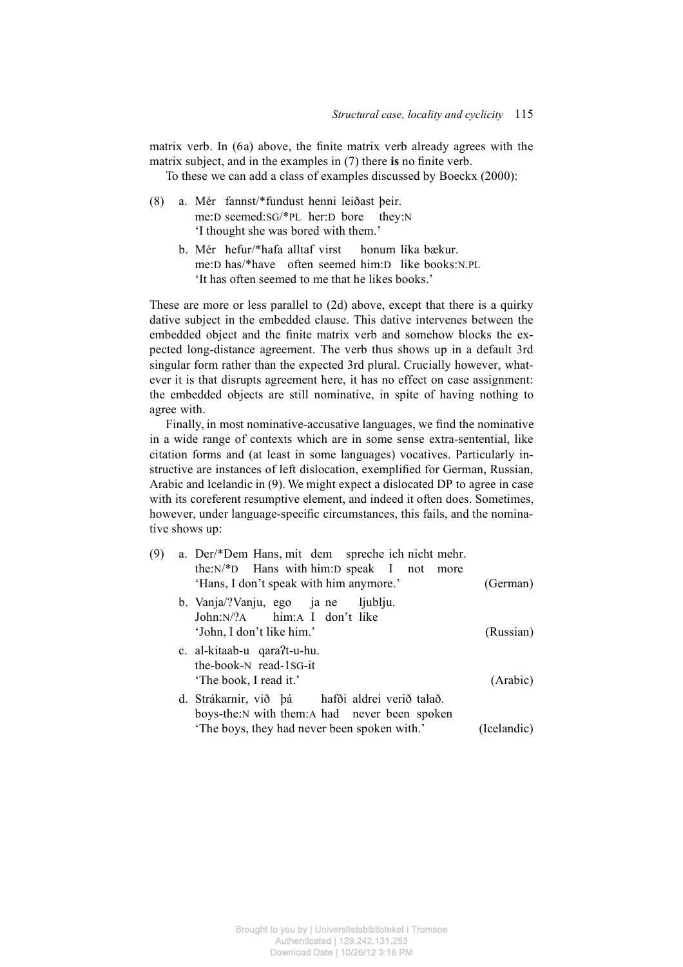matrix verb. In (6a) above, the finite matrix verb already agrees with the matrix subject, and in the examples in (7) there **is** no finite verb. To these we can add a class of examples discussed by Boeckx (2000):

- (8) a. Mér fannst/\*fundust henni leiðast þeir. me:D seemed:SG/\*PL her:D bore they:N 'I thought she was bored with them.'
	- b. Mér hefur/\*hafa alltaf virst honum líka bækur. me:D has/\*have often seemed him:D like books:N.PL 'It has often seemed to me that he likes books.'

These are more or less parallel to (2d) above, except that there is a quirky dative subject in the embedded clause. This dative intervenes between the embedded object and the finite matrix verb and somehow blocks the expected long-distance agreement. The verb thus shows up in a default 3rd singular form rather than the expected 3rd plural. Crucially however, whatever it is that disrupts agreement here, it has no effect on case assignment: the embedded objects are still nominative, in spite of having nothing to agree with.

Finally, in most nominative-accusative languages, we find the nominative in a wide range of contexts which are in some sense extra-sentential, like citation forms and (at least in some languages) vocatives. Particularly instructive are instances of left dislocation, exemplified for German, Russian, Arabic and Icelandic in (9). We might expect a dislocated DP to agree in case with its coreferent resumptive element, and indeed it often does. Sometimes, however, under language-specific circumstances, this fails, and the nominative shows up:

| (9) | a. Der/*Dem Hans, mit dem spreche ich nicht mehr.           |             |
|-----|-------------------------------------------------------------|-------------|
|     | the: $N$ <sup>*</sup> D Hans with him:D speak I not<br>more |             |
|     | 'Hans, I don't speak with him anymore.'                     | (German)    |
|     | b. Vanja/?Vanju, ego ja ne ljublju.                         |             |
|     | John: N/?A him: A I don't like                              |             |
|     | 'John, I don't like him.'                                   | (Russian)   |
|     | c. al-kitaab-u qara?t-u-hu.                                 |             |
|     | the-book- $N$ read-1 $SG$ -it                               |             |
|     | 'The book, I read it.'                                      | (Arabic)    |
|     | d. Strákarnir, við þá hafði aldrei verið talað.             |             |
|     | boys-the:N with them:A had never been spoken                |             |
|     | The boys, they had never been spoken with.'                 | (Icelandic) |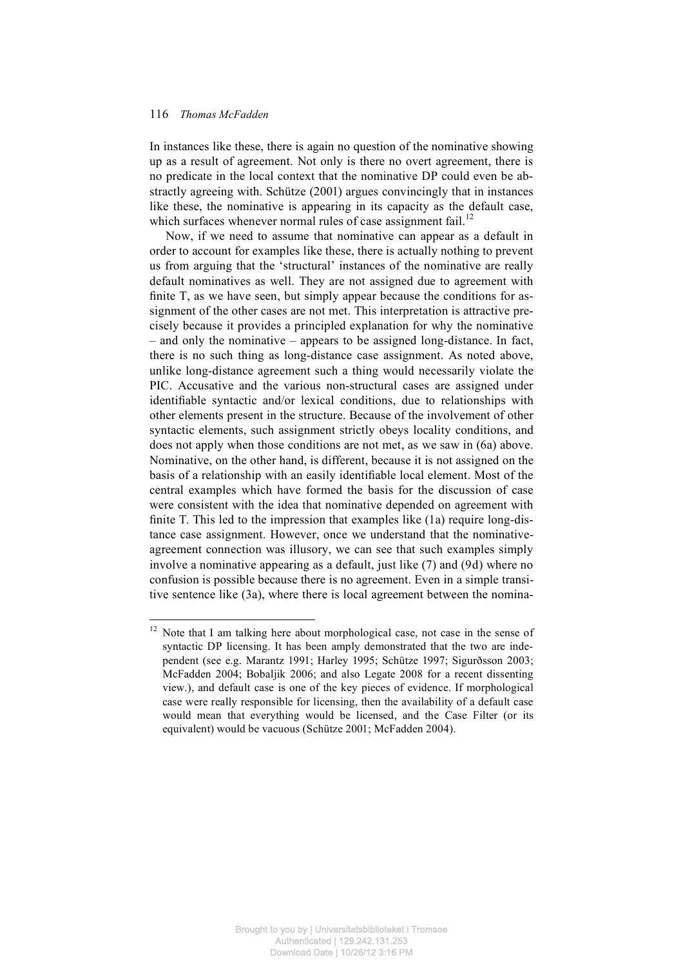In instances like these, there is again no question of the nominative showing up as a result of agreement. Not only is there no overt agreement, there is no predicate in the local context that the nominative DP could even be abstractly agreeing with. Schütze (2001) argues convincingly that in instances like these, the nominative is appearing in its capacity as the default case, which surfaces whenever normal rules of case assignment fail.<sup>12</sup>

Now, if we need to assume that nominative can appear as a default in order to account for examples like these, there is actually nothing to prevent us from arguing that the 'structural' instances of the nominative are really default nominatives as well. They are not assigned due to agreement with finite T, as we have seen, but simply appear because the conditions for assignment of the other cases are not met. This interpretation is attractive precisely because it provides a principled explanation for why the nominative – and only the nominative – appears to be assigned long-distance. In fact, there is no such thing as long-distance case assignment. As noted above, unlike long-distance agreement such a thing would necessarily violate the PIC. Accusative and the various non-structural cases are assigned under identifiable syntactic and/or lexical conditions, due to relationships with other elements present in the structure. Because of the involvement of other syntactic elements, such assignment strictly obeys locality conditions, and does not apply when those conditions are not met, as we saw in (6a) above. Nominative, on the other hand, is different, because it is not assigned on the basis of a relationship with an easily identifiable local element. Most of the central examples which have formed the basis for the discussion of case were consistent with the idea that nominative depended on agreement with finite T. This led to the impression that examples like (1a) require long-distance case assignment. However, once we understand that the nominativeagreement connection was illusory, we can see that such examples simply involve a nominative appearing as a default, just like (7) and (9d) where no confusion is possible because there is no agreement. Even in a simple transitive sentence like (3a), where there is local agreement between the nomina-

<sup>&</sup>lt;sup>12</sup> Note that I am talking here about morphological case, not case in the sense of syntactic DP licensing. It has been amply demonstrated that the two are independent (see e.g. Marantz 1991; Harley 1995; Schütze 1997; Sigurðsson 2003; McFadden 2004; Bobaljik 2006; and also Legate 2008 for a recent dissenting view.), and default case is one of the key pieces of evidence. If morphological case were really responsible for licensing, then the availability of a default case would mean that everything would be licensed, and the Case Filter (or its equivalent) would be vacuous (Schütze 2001; McFadden 2004).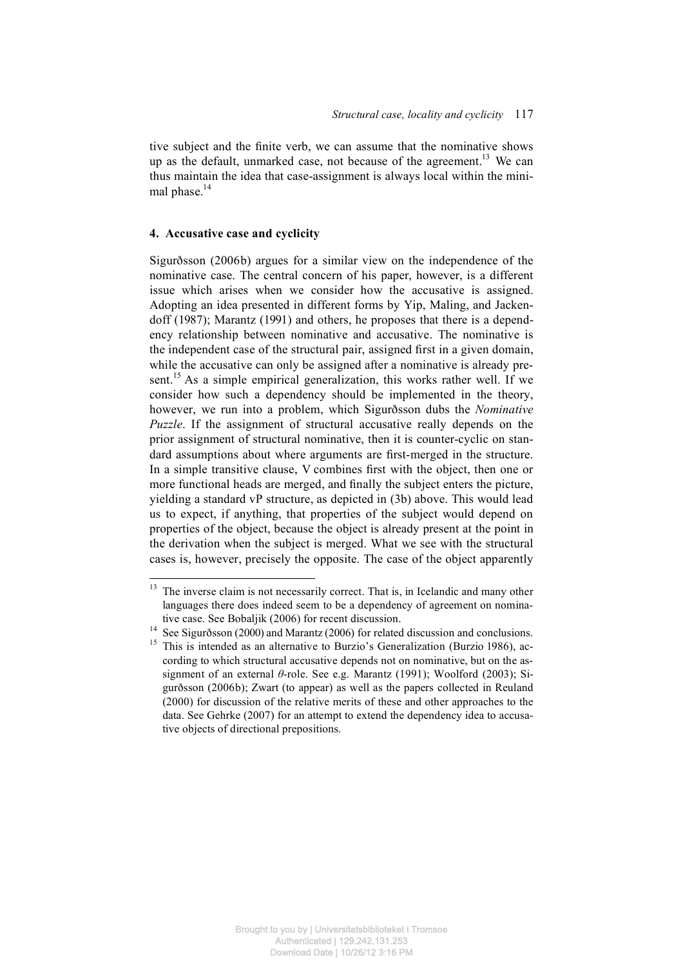tive subject and the finite verb, we can assume that the nominative shows up as the default, unmarked case, not because of the agreement.<sup>13</sup> We can thus maintain the idea that case-assignment is always local within the minimal phase.<sup>14</sup>

## **4. Accusative case and cyclicity**

Sigurðsson (2006b) argues for a similar view on the independence of the nominative case. The central concern of his paper, however, is a different issue which arises when we consider how the accusative is assigned. Adopting an idea presented in different forms by Yip, Maling, and Jackendoff (1987); Marantz (1991) and others, he proposes that there is a dependency relationship between nominative and accusative. The nominative is the independent case of the structural pair, assigned first in a given domain, while the accusative can only be assigned after a nominative is already present.<sup>15</sup> As a simple empirical generalization, this works rather well. If we consider how such a dependency should be implemented in the theory, however, we run into a problem, which Sigurðsson dubs the *Nominative Puzzle*. If the assignment of structural accusative really depends on the prior assignment of structural nominative, then it is counter-cyclic on standard assumptions about where arguments are first-merged in the structure. In a simple transitive clause, V combines first with the object, then one or more functional heads are merged, and finally the subject enters the picture, yielding a standard vP structure, as depicted in (3b) above. This would lead us to expect, if anything, that properties of the subject would depend on properties of the object, because the object is already present at the point in the derivation when the subject is merged. What we see with the structural cases is, however, precisely the opposite. The case of the object apparently

<sup>&</sup>lt;sup>13</sup> The inverse claim is not necessarily correct. That is, in Icelandic and many other languages there does indeed seem to be a dependency of agreement on nominative case. See Bobaljik (2006) for recent discussion.

<sup>&</sup>lt;sup>14</sup> See Sigurðsson (2000) and Marantz (2006) for related discussion and conclusions.

<sup>&</sup>lt;sup>15</sup> This is intended as an alternative to Burzio's Generalization (Burzio 1986), according to which structural accusative depends not on nominative, but on the assignment of an external *θ*-role. See e.g. Marantz (1991); Woolford (2003); Sigurðsson (2006b); Zwart (to appear) as well as the papers collected in Reuland (2000) for discussion of the relative merits of these and other approaches to the data. See Gehrke (2007) for an attempt to extend the dependency idea to accusative objects of directional prepositions.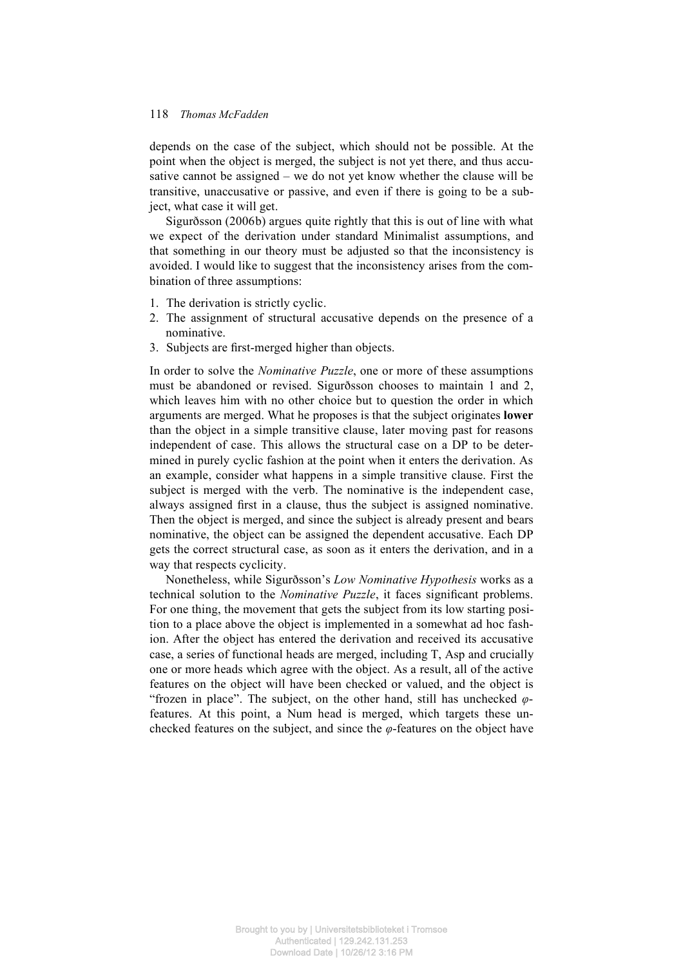depends on the case of the subject, which should not be possible. At the point when the object is merged, the subject is not yet there, and thus accusative cannot be assigned – we do not yet know whether the clause will be transitive, unaccusative or passive, and even if there is going to be a subject, what case it will get.

Sigurðsson (2006b) argues quite rightly that this is out of line with what we expect of the derivation under standard Minimalist assumptions, and that something in our theory must be adjusted so that the inconsistency is avoided. I would like to suggest that the inconsistency arises from the combination of three assumptions:

- 1. The derivation is strictly cyclic.
- 2. The assignment of structural accusative depends on the presence of a nominative.
- 3. Subjects are first-merged higher than objects.

In order to solve the *Nominative Puzzle*, one or more of these assumptions must be abandoned or revised. Sigurðsson chooses to maintain 1 and 2, which leaves him with no other choice but to question the order in which arguments are merged. What he proposes is that the subject originates **lower** than the object in a simple transitive clause, later moving past for reasons independent of case. This allows the structural case on a DP to be determined in purely cyclic fashion at the point when it enters the derivation. As an example, consider what happens in a simple transitive clause. First the subject is merged with the verb. The nominative is the independent case, always assigned first in a clause, thus the subject is assigned nominative. Then the object is merged, and since the subject is already present and bears nominative, the object can be assigned the dependent accusative. Each DP gets the correct structural case, as soon as it enters the derivation, and in a way that respects cyclicity.

Nonetheless, while Sigurðsson's *Low Nominative Hypothesis* works as a technical solution to the *Nominative Puzzle*, it faces significant problems. For one thing, the movement that gets the subject from its low starting position to a place above the object is implemented in a somewhat ad hoc fashion. After the object has entered the derivation and received its accusative case, a series of functional heads are merged, including T, Asp and crucially one or more heads which agree with the object. As a result, all of the active features on the object will have been checked or valued, and the object is "frozen in place". The subject, on the other hand, still has unchecked *φ*features. At this point, a Num head is merged, which targets these unchecked features on the subject, and since the *φ*-features on the object have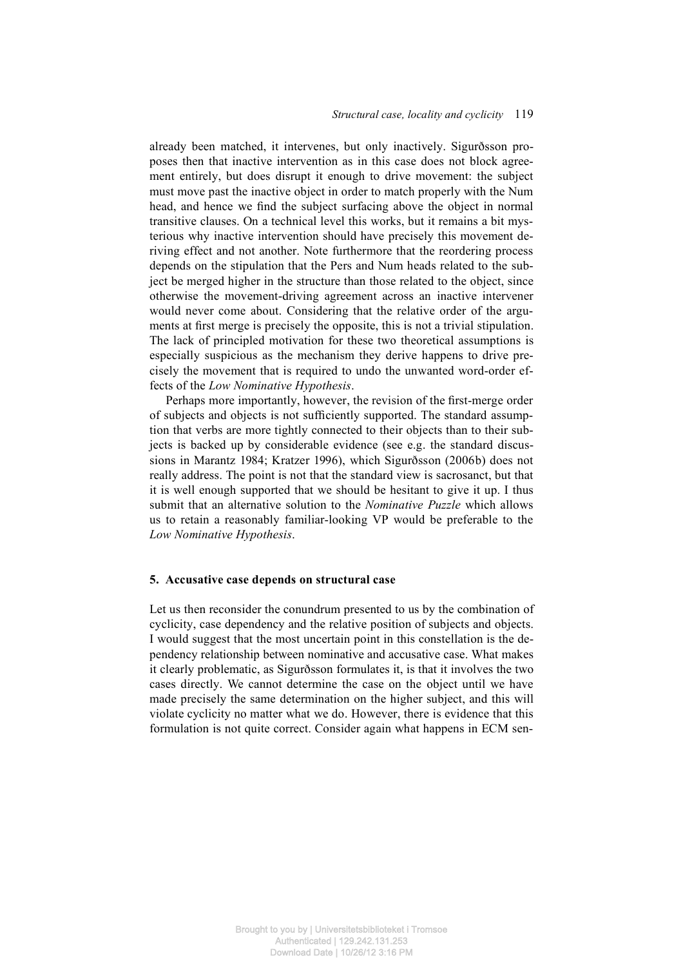already been matched, it intervenes, but only inactively. Sigurðsson proposes then that inactive intervention as in this case does not block agreement entirely, but does disrupt it enough to drive movement: the subject must move past the inactive object in order to match properly with the Num head, and hence we find the subject surfacing above the object in normal transitive clauses. On a technical level this works, but it remains a bit mysterious why inactive intervention should have precisely this movement deriving effect and not another. Note furthermore that the reordering process depends on the stipulation that the Pers and Num heads related to the subject be merged higher in the structure than those related to the object, since otherwise the movement-driving agreement across an inactive intervener would never come about. Considering that the relative order of the arguments at first merge is precisely the opposite, this is not a trivial stipulation. The lack of principled motivation for these two theoretical assumptions is especially suspicious as the mechanism they derive happens to drive precisely the movement that is required to undo the unwanted word-order effects of the *Low Nominative Hypothesis*.

Perhaps more importantly, however, the revision of the first-merge order of subjects and objects is not sufficiently supported. The standard assumption that verbs are more tightly connected to their objects than to their subjects is backed up by considerable evidence (see e.g. the standard discussions in Marantz 1984; Kratzer 1996), which Sigurðsson (2006b) does not really address. The point is not that the standard view is sacrosanct, but that it is well enough supported that we should be hesitant to give it up. I thus submit that an alternative solution to the *Nominative Puzzle* which allows us to retain a reasonably familiar-looking VP would be preferable to the *Low Nominative Hypothesis*.

### **5. Accusative case depends on structural case**

Let us then reconsider the conundrum presented to us by the combination of cyclicity, case dependency and the relative position of subjects and objects. I would suggest that the most uncertain point in this constellation is the dependency relationship between nominative and accusative case. What makes it clearly problematic, as Sigurðsson formulates it, is that it involves the two cases directly. We cannot determine the case on the object until we have made precisely the same determination on the higher subject, and this will violate cyclicity no matter what we do. However, there is evidence that this formulation is not quite correct. Consider again what happens in ECM sen-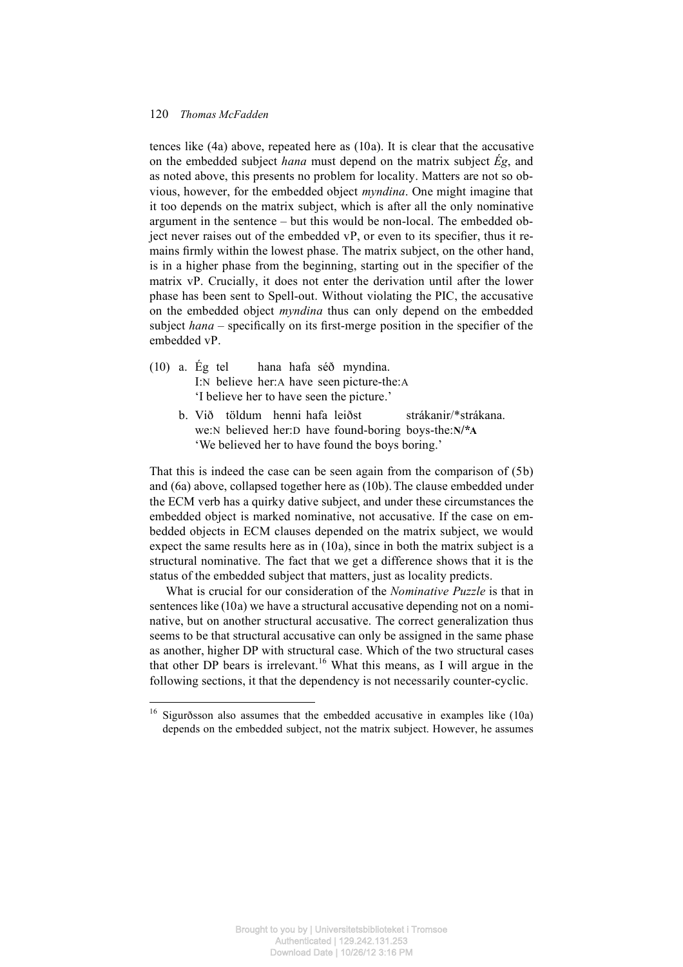tences like (4a) above, repeated here as (10a). It is clear that the accusative on the embedded subject *hana* must depend on the matrix subject *Ég*, and as noted above, this presents no problem for locality. Matters are not so obvious, however, for the embedded object *myndina*. One might imagine that it too depends on the matrix subject, which is after all the only nominative argument in the sentence – but this would be non-local. The embedded object never raises out of the embedded vP, or even to its specifier, thus it remains firmly within the lowest phase. The matrix subject, on the other hand, is in a higher phase from the beginning, starting out in the specifier of the matrix vP. Crucially, it does not enter the derivation until after the lower phase has been sent to Spell-out. Without violating the PIC, the accusative on the embedded object *myndina* thus can only depend on the embedded subject *hana* – specifically on its first-merge position in the specifier of the embedded vP.

- (10) a. Ég tel hana hafa séð myndina. I:N believe her:A have seen picture-the:A 'I believe her to have seen the picture.'
	- b. Við töldum henni hafa leiðst strákanir/\*strákana. we:N believed her:D have found-boring boys-the:**N/\*A** 'We believed her to have found the boys boring.'

That this is indeed the case can be seen again from the comparison of (5b) and (6a) above, collapsed together here as (10b). The clause embedded under the ECM verb has a quirky dative subject, and under these circumstances the embedded object is marked nominative, not accusative. If the case on embedded objects in ECM clauses depended on the matrix subject, we would expect the same results here as in (10a), since in both the matrix subject is a structural nominative. The fact that we get a difference shows that it is the status of the embedded subject that matters, just as locality predicts.

What is crucial for our consideration of the *Nominative Puzzle* is that in sentences like (10a) we have a structural accusative depending not on a nominative, but on another structural accusative. The correct generalization thus seems to be that structural accusative can only be assigned in the same phase as another, higher DP with structural case. Which of the two structural cases that other DP bears is irrelevant.<sup>16</sup> What this means, as I will argue in the following sections, it that the dependency is not necessarily counter-cyclic.

<sup>&</sup>lt;sup>16</sup> Sigurðsson also assumes that the embedded accusative in examples like (10a) depends on the embedded subject, not the matrix subject. However, he assumes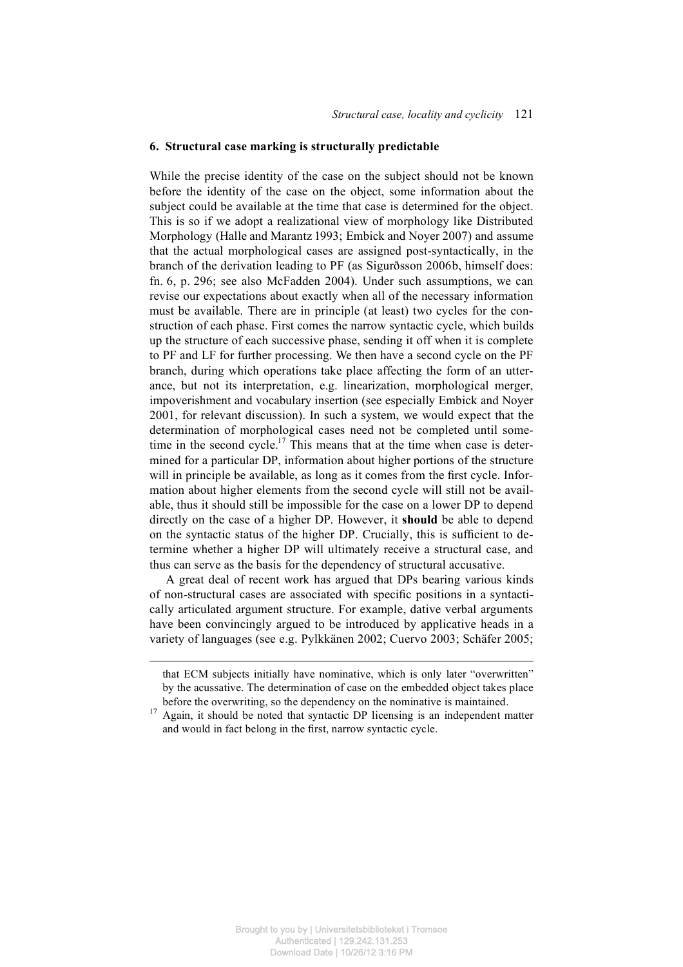### **6. Structural case marking is structurally predictable**

While the precise identity of the case on the subject should not be known before the identity of the case on the object, some information about the subject could be available at the time that case is determined for the object. This is so if we adopt a realizational view of morphology like Distributed Morphology (Halle and Marantz 1993; Embick and Noyer 2007) and assume that the actual morphological cases are assigned post-syntactically, in the branch of the derivation leading to PF (as Sigurðsson 2006b, himself does: fn. 6, p. 296; see also McFadden 2004). Under such assumptions, we can revise our expectations about exactly when all of the necessary information must be available. There are in principle (at least) two cycles for the construction of each phase. First comes the narrow syntactic cycle, which builds up the structure of each successive phase, sending it off when it is complete to PF and LF for further processing. We then have a second cycle on the PF branch, during which operations take place affecting the form of an utterance, but not its interpretation, e.g. linearization, morphological merger, impoverishment and vocabulary insertion (see especially Embick and Noyer 2001, for relevant discussion). In such a system, we would expect that the determination of morphological cases need not be completed until sometime in the second cycle.<sup>17</sup> This means that at the time when case is determined for a particular DP, information about higher portions of the structure will in principle be available, as long as it comes from the first cycle. Information about higher elements from the second cycle will still not be available, thus it should still be impossible for the case on a lower DP to depend directly on the case of a higher DP. However, it **should** be able to depend on the syntactic status of the higher DP. Crucially, this is sufficient to determine whether a higher DP will ultimately receive a structural case, and thus can serve as the basis for the dependency of structural accusative.

A great deal of recent work has argued that DPs bearing various kinds of non-structural cases are associated with specific positions in a syntactically articulated argument structure. For example, dative verbal arguments have been convincingly argued to be introduced by applicative heads in a variety of languages (see e.g. Pylkkänen 2002; Cuervo 2003; Schäfer 2005;

 $\overline{a}$ 

that ECM subjects initially have nominative, which is only later "overwritten" by the acussative. The determination of case on the embedded object takes place before the overwriting, so the dependency on the nominative is maintained.

 $17$  Again, it should be noted that syntactic DP licensing is an independent matter and would in fact belong in the first, narrow syntactic cycle.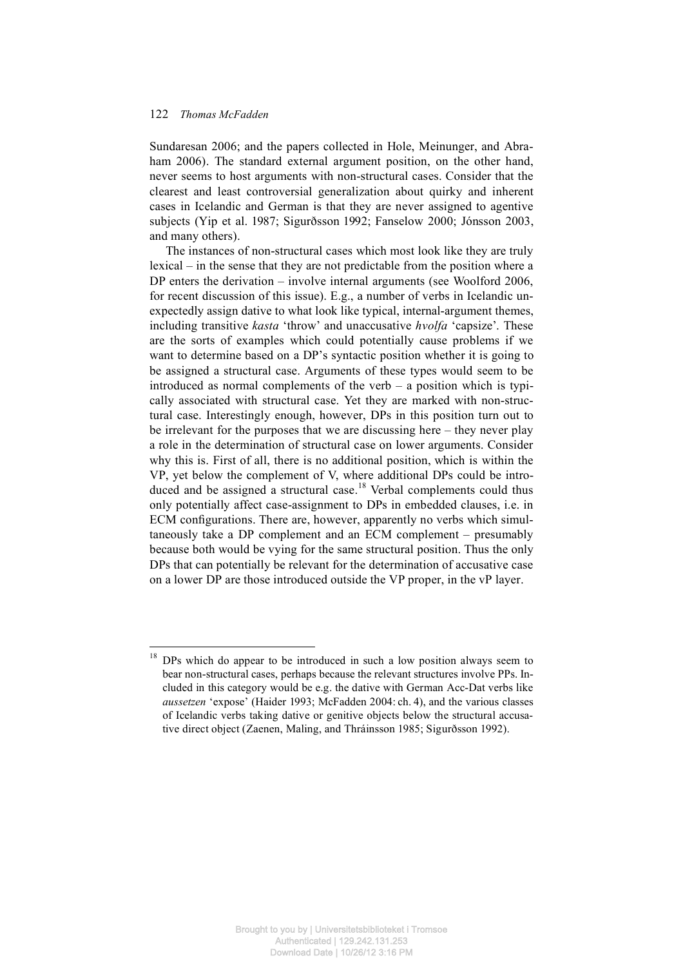Sundaresan 2006; and the papers collected in Hole, Meinunger, and Abraham 2006). The standard external argument position, on the other hand, never seems to host arguments with non-structural cases. Consider that the clearest and least controversial generalization about quirky and inherent cases in Icelandic and German is that they are never assigned to agentive subjects (Yip et al. 1987; Sigurðsson 1992; Fanselow 2000; Jónsson 2003, and many others).

The instances of non-structural cases which most look like they are truly lexical – in the sense that they are not predictable from the position where a DP enters the derivation – involve internal arguments (see Woolford 2006, for recent discussion of this issue). E.g., a number of verbs in Icelandic unexpectedly assign dative to what look like typical, internal-argument themes, including transitive *kasta* 'throw' and unaccusative *hvolfa* 'capsize'. These are the sorts of examples which could potentially cause problems if we want to determine based on a DP's syntactic position whether it is going to be assigned a structural case. Arguments of these types would seem to be introduced as normal complements of the verb – a position which is typically associated with structural case. Yet they are marked with non-structural case. Interestingly enough, however, DPs in this position turn out to be irrelevant for the purposes that we are discussing here – they never play a role in the determination of structural case on lower arguments. Consider why this is. First of all, there is no additional position, which is within the VP, yet below the complement of V, where additional DPs could be introduced and be assigned a structural case.<sup>18</sup> Verbal complements could thus only potentially affect case-assignment to DPs in embedded clauses, i.e. in ECM configurations. There are, however, apparently no verbs which simultaneously take a DP complement and an ECM complement – presumably because both would be vying for the same structural position. Thus the only DPs that can potentially be relevant for the determination of accusative case on a lower DP are those introduced outside the VP proper, in the vP layer.

<sup>&</sup>lt;sup>18</sup> DPs which do appear to be introduced in such a low position always seem to bear non-structural cases, perhaps because the relevant structures involve PPs. Included in this category would be e.g. the dative with German Acc-Dat verbs like *aussetzen* 'expose' (Haider 1993; McFadden 2004: ch. 4), and the various classes of Icelandic verbs taking dative or genitive objects below the structural accusative direct object (Zaenen, Maling, and Thráinsson 1985; Sigurðsson 1992).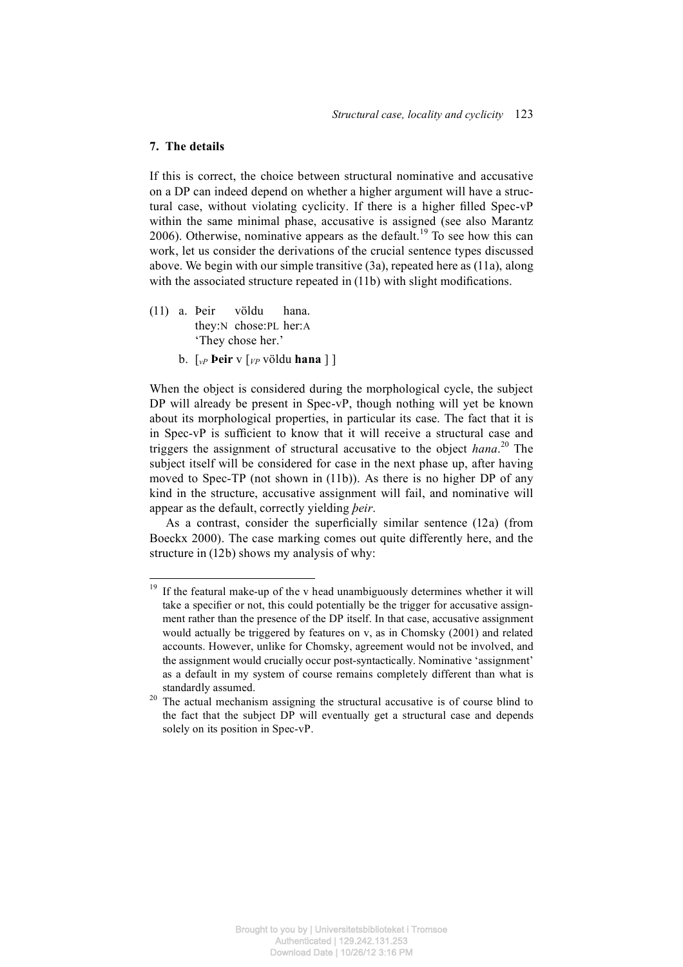## **7. The details**

If this is correct, the choice between structural nominative and accusative on a DP can indeed depend on whether a higher argument will have a structural case, without violating cyclicity. If there is a higher filled Spec-vP within the same minimal phase, accusative is assigned (see also Marantz 2006). Otherwise, nominative appears as the default.<sup>19</sup> To see how this can work, let us consider the derivations of the crucial sentence types discussed above. We begin with our simple transitive (3a), repeated here as (11a), along with the associated structure repeated in (11b) with slight modifications.

- (11) a. Þeir völdu hana. they:N chose:PL her:A 'They chose her.'
	- b. [*vP* **Þeir** v [*VP* völdu **hana** ] ]

When the object is considered during the morphological cycle, the subject DP will already be present in Spec-vP, though nothing will yet be known about its morphological properties, in particular its case. The fact that it is in Spec-vP is sufficient to know that it will receive a structural case and triggers the assignment of structural accusative to the object *hana*. <sup>20</sup> The subject itself will be considered for case in the next phase up, after having moved to Spec-TP (not shown in (11b)). As there is no higher DP of any kind in the structure, accusative assignment will fail, and nominative will appear as the default, correctly yielding *þeir*.

As a contrast, consider the superficially similar sentence (12a) (from Boeckx 2000). The case marking comes out quite differently here, and the structure in (12b) shows my analysis of why:

 $19$  If the featural make-up of the v head unambiguously determines whether it will take a specifier or not, this could potentially be the trigger for accusative assignment rather than the presence of the DP itself. In that case, accusative assignment would actually be triggered by features on v, as in Chomsky (2001) and related accounts. However, unlike for Chomsky, agreement would not be involved, and the assignment would crucially occur post-syntactically. Nominative 'assignment' as a default in my system of course remains completely different than what is standardly assumed.

<sup>&</sup>lt;sup>20</sup> The actual mechanism assigning the structural accusative is of course blind to the fact that the subject DP will eventually get a structural case and depends solely on its position in Spec-vP.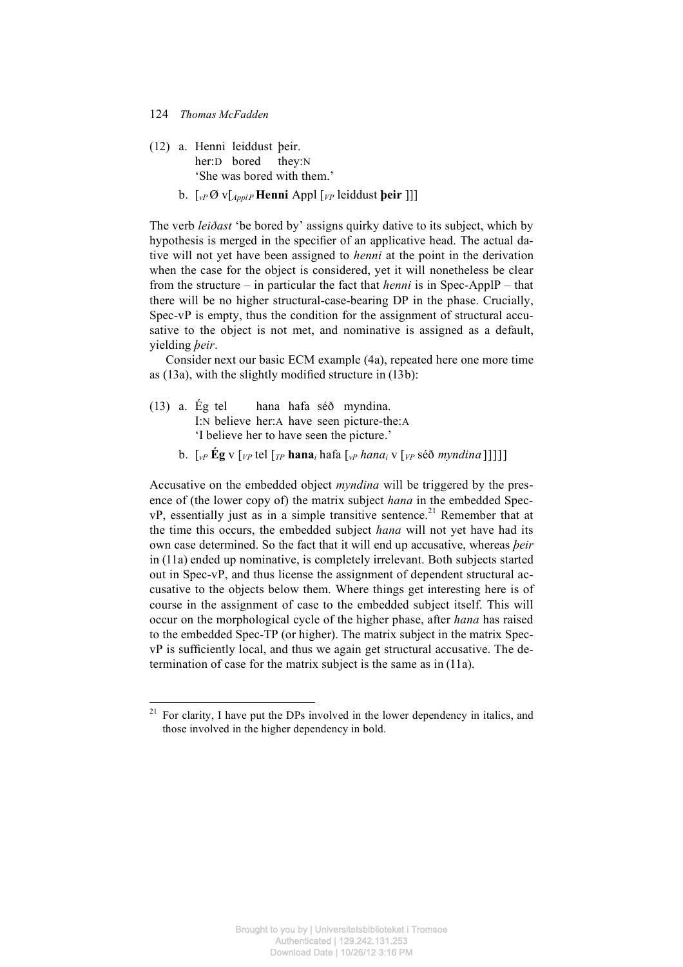- 124 *Thomas McFadden*
- (12) a. Henni leiddust þeir. her:D bored they:N 'She was bored with them.'
	- b.  $\left[\sqrt{p}Q \sqrt{p}\right]$   $\left[\sqrt{p}H$ enni Appl $\left[\sqrt{p}\right]$  leiddust **þeir**  $\left[\right]\right]$

The verb *leiðast* 'be bored by' assigns quirky dative to its subject, which by hypothesis is merged in the specifier of an applicative head. The actual dative will not yet have been assigned to *henni* at the point in the derivation when the case for the object is considered, yet it will nonetheless be clear from the structure – in particular the fact that *henni* is in Spec-ApplP – that there will be no higher structural-case-bearing DP in the phase. Crucially, Spec-vP is empty, thus the condition for the assignment of structural accusative to the object is not met, and nominative is assigned as a default, yielding *þeir*.

Consider next our basic ECM example (4a), repeated here one more time as (13a), with the slightly modified structure in (13b):

- (13) a. Ég tel hana hafa séð myndina. I:N believe her:A have seen picture-the:A 'I believe her to have seen the picture.'
	- b.  $\int_{\mathcal{V}} \int_{\mathcal{V}} \mathbf{F} \mathbf{g} \mathbf{v} \left[ \int_{\mathcal{V}} \mathbf{f} \mathbf{e} \mathbf{e} \right] \left[ \int_{\mathcal{V}} \mathbf{h} \mathbf{a} \mathbf{n} \mathbf{a}_i \right] \mathbf{a} \left[ \int_{\mathcal{V}} \mathbf{h} \mathbf{a} \mathbf{n} \mathbf{a}_i \mathbf{v} \right] \left[ \int_{\mathcal{V}} \mathbf{g} \mathbf{e} \mathbf{f} \mathbf{f} \mathbf{f} \mathbf{f} \mathbf{f} \mathbf{$

Accusative on the embedded object *myndina* will be triggered by the presence of (the lower copy of) the matrix subject *hana* in the embedded Spec $vP$ , essentially just as in a simple transitive sentence.<sup>21</sup> Remember that at the time this occurs, the embedded subject *hana* will not yet have had its own case determined. So the fact that it will end up accusative, whereas *þeir* in (11a) ended up nominative, is completely irrelevant. Both subjects started out in Spec-vP, and thus license the assignment of dependent structural accusative to the objects below them. Where things get interesting here is of course in the assignment of case to the embedded subject itself. This will occur on the morphological cycle of the higher phase, after *hana* has raised to the embedded Spec-TP (or higher). The matrix subject in the matrix SpecvP is sufficiently local, and thus we again get structural accusative. The determination of case for the matrix subject is the same as in (11a).

 $21$  For clarity, I have put the DPs involved in the lower dependency in italics, and those involved in the higher dependency in bold.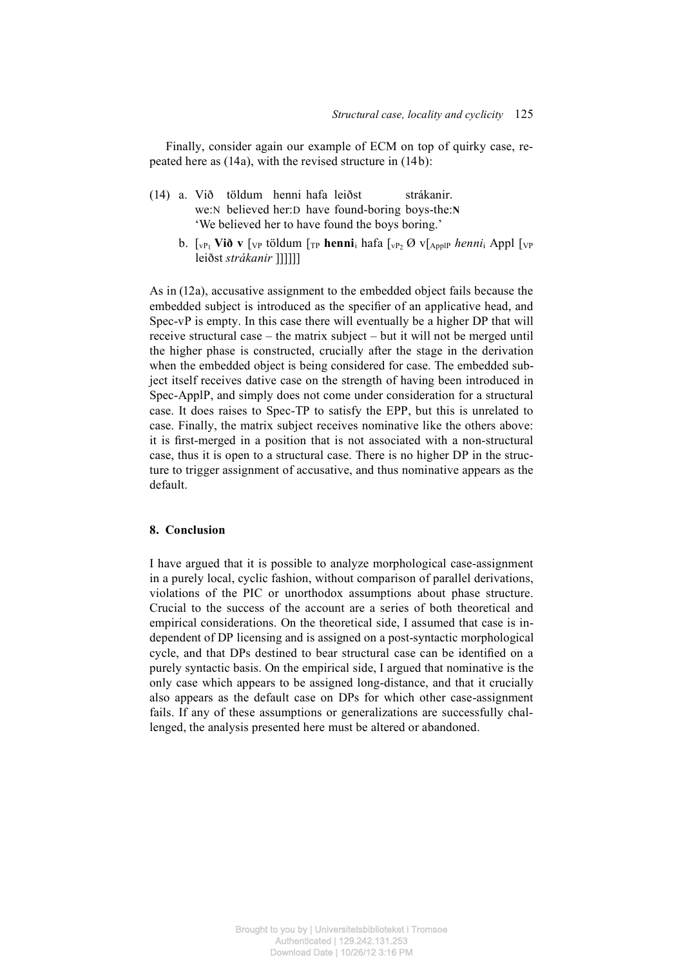Finally, consider again our example of ECM on top of quirky case, repeated here as (14a), with the revised structure in (14b):

- (14) a. Við töldum henni hafa leiðst strákanir. we:N believed her:D have found-boring boys-the:**N** 'We believed her to have found the boys boring.'
	- b. [vP1 **Við v** [VP töldum [TP **henni**<sup>i</sup> hafa [vP2 Ø v[ApplP *henni*<sup>i</sup> Appl [VP leiðst *strákanir* ]]]]]]

As in (12a), accusative assignment to the embedded object fails because the embedded subject is introduced as the specifier of an applicative head, and Spec-vP is empty. In this case there will eventually be a higher DP that will receive structural case – the matrix subject – but it will not be merged until the higher phase is constructed, crucially after the stage in the derivation when the embedded object is being considered for case. The embedded subject itself receives dative case on the strength of having been introduced in Spec-ApplP, and simply does not come under consideration for a structural case. It does raises to Spec-TP to satisfy the EPP, but this is unrelated to case. Finally, the matrix subject receives nominative like the others above: it is first-merged in a position that is not associated with a non-structural case, thus it is open to a structural case. There is no higher DP in the structure to trigger assignment of accusative, and thus nominative appears as the default.

## **8. Conclusion**

I have argued that it is possible to analyze morphological case-assignment in a purely local, cyclic fashion, without comparison of parallel derivations, violations of the PIC or unorthodox assumptions about phase structure. Crucial to the success of the account are a series of both theoretical and empirical considerations. On the theoretical side, I assumed that case is independent of DP licensing and is assigned on a post-syntactic morphological cycle, and that DPs destined to bear structural case can be identified on a purely syntactic basis. On the empirical side, I argued that nominative is the only case which appears to be assigned long-distance, and that it crucially also appears as the default case on DPs for which other case-assignment fails. If any of these assumptions or generalizations are successfully challenged, the analysis presented here must be altered or abandoned.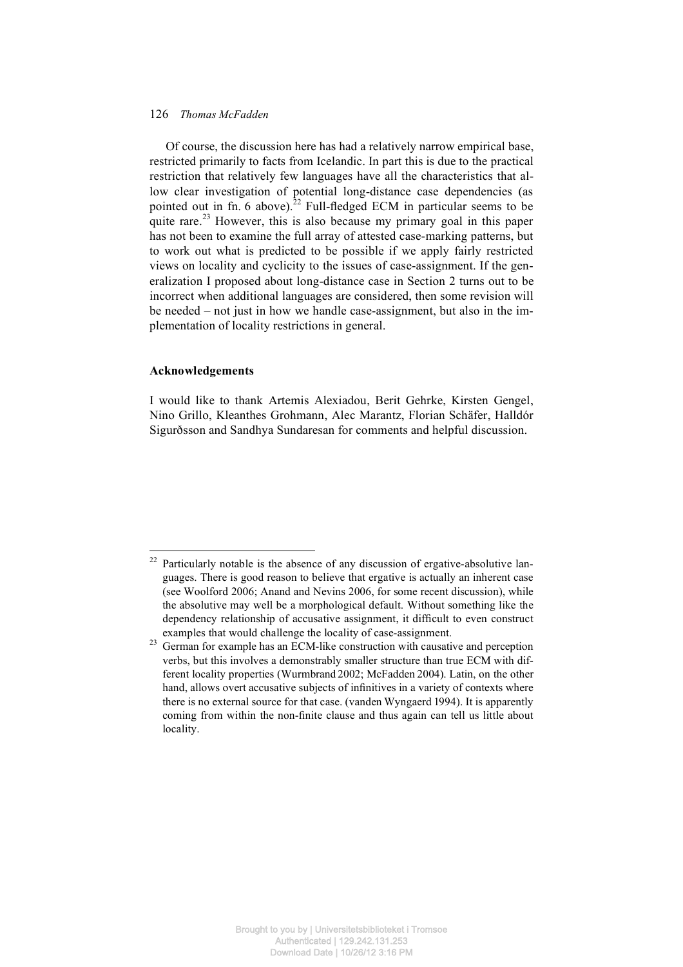Of course, the discussion here has had a relatively narrow empirical base, restricted primarily to facts from Icelandic. In part this is due to the practical restriction that relatively few languages have all the characteristics that allow clear investigation of potential long-distance case dependencies (as pointed out in fn.  $\overline{6}$  above).<sup>22</sup> Full-fledged ECM in particular seems to be quite rare.<sup>23</sup> However, this is also because my primary goal in this paper has not been to examine the full array of attested case-marking patterns, but to work out what is predicted to be possible if we apply fairly restricted views on locality and cyclicity to the issues of case-assignment. If the generalization I proposed about long-distance case in Section 2 turns out to be incorrect when additional languages are considered, then some revision will be needed – not just in how we handle case-assignment, but also in the implementation of locality restrictions in general.

## **Acknowledgements**

I would like to thank Artemis Alexiadou, Berit Gehrke, Kirsten Gengel, Nino Grillo, Kleanthes Grohmann, Alec Marantz, Florian Schäfer, Halldór Sigurðsson and Sandhya Sundaresan for comments and helpful discussion.

Particularly notable is the absence of any discussion of ergative-absolutive languages. There is good reason to believe that ergative is actually an inherent case (see Woolford 2006; Anand and Nevins 2006, for some recent discussion), while the absolutive may well be a morphological default. Without something like the dependency relationship of accusative assignment, it difficult to even construct examples that would challenge the locality of case-assignment.

 $23$  German for example has an ECM-like construction with causative and perception verbs, but this involves a demonstrably smaller structure than true ECM with different locality properties (Wurmbrand 2002; McFadden 2004). Latin, on the other hand, allows overt accusative subjects of infinitives in a variety of contexts where there is no external source for that case. (vanden Wyngaerd 1994). It is apparently coming from within the non-finite clause and thus again can tell us little about locality.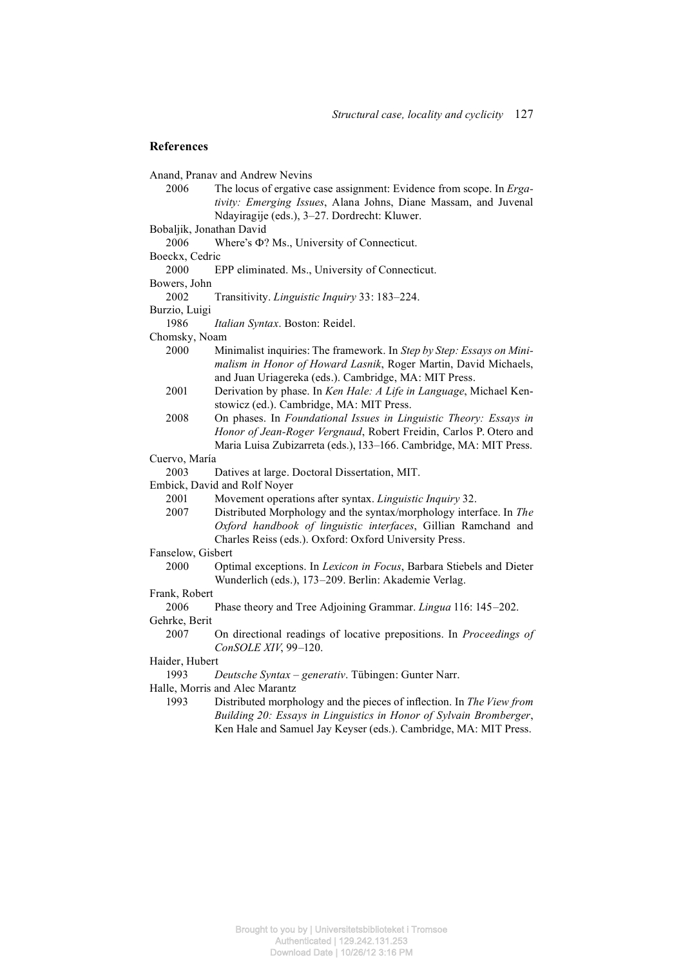## **References**

Anand, Pranav and Andrew Nevins

2006 The locus of ergative case assignment: Evidence from scope. In *Ergativity: Emerging Issues*, Alana Johns, Diane Massam, and Juvenal Ndayiragije (eds.), 3–27. Dordrecht: Kluwer.

Bobaljik, Jonathan David

2006 Where's Ф? Ms., University of Connecticut.

### Boeckx, Cedric

2000 EPP eliminated. Ms., University of Connecticut.

#### Bowers, John

2002 Transitivity. *Linguistic Inquiry* 33: 183–224.

Burzio, Luigi

1986 *Italian Syntax*. Boston: Reidel.

#### Chomsky, Noam

- 2000 Minimalist inquiries: The framework. In *Step by Step: Essays on Minimalism in Honor of Howard Lasnik*, Roger Martin, David Michaels, and Juan Uriagereka (eds.). Cambridge, MA: MIT Press.
- 2001 Derivation by phase. In *Ken Hale: A Life in Language*, Michael Kenstowicz (ed.). Cambridge, MA: MIT Press.
- 2008 On phases. In *Foundational Issues in Linguistic Theory: Essays in Honor of Jean-Roger Vergnaud*, Robert Freidin, Carlos P. Otero and Maria Luisa Zubizarreta (eds.), 133–166. Cambridge, MA: MIT Press.

### Cuervo, María

2003 Datives at large. Doctoral Dissertation, MIT.

Embick, David and Rolf Noyer

- 2001 Movement operations after syntax. *Linguistic Inquiry* 32.
- 2007 Distributed Morphology and the syntax/morphology interface. In *The Oxford handbook of linguistic interfaces*, Gillian Ramchand and Charles Reiss (eds.). Oxford: Oxford University Press.

#### Fanselow, Gisbert

2000 Optimal exceptions. In *Lexicon in Focus*, Barbara Stiebels and Dieter Wunderlich (eds.), 173–209. Berlin: Akademie Verlag.

### Frank, Robert

- 2006 Phase theory and Tree Adjoining Grammar. *Lingua* 116: 145–202. Gehrke, Berit
	- 2007 On directional readings of locative prepositions. In *Proceedings of ConSOLE XIV*, 99–120.

## Haider, Hubert

1993 *Deutsche Syntax – generativ*. Tübingen: Gunter Narr.

### Halle, Morris and Alec Marantz

1993 Distributed morphology and the pieces of inflection. In *The View from Building 20: Essays in Linguistics in Honor of Sylvain Bromberger*, Ken Hale and Samuel Jay Keyser (eds.). Cambridge, MA: MIT Press.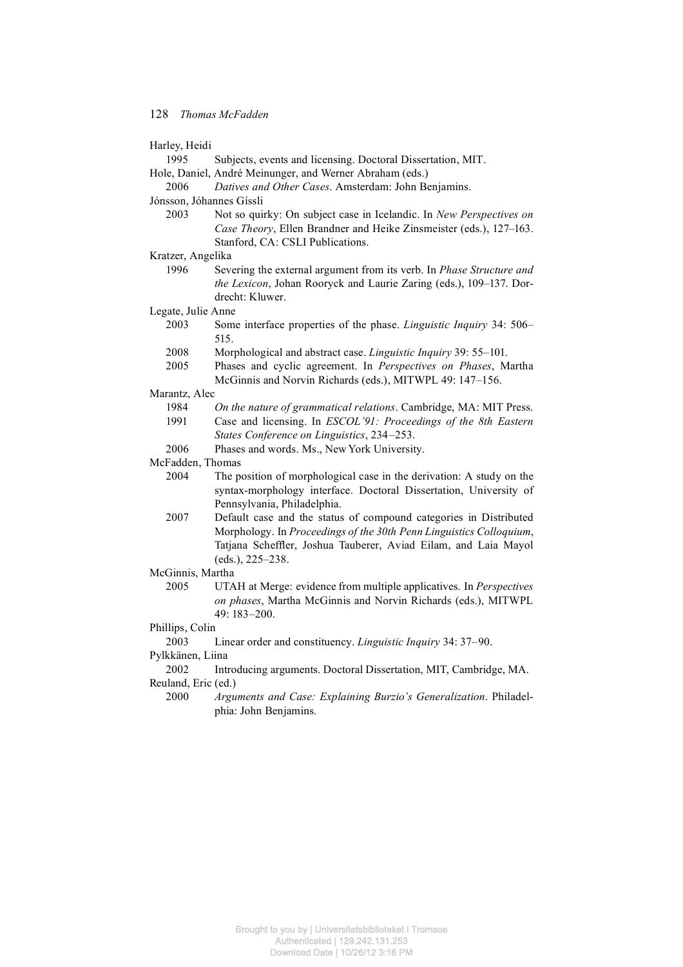### Harley, Heidi

- 1995 Subjects, events and licensing. Doctoral Dissertation, MIT.
- Hole, Daniel, André Meinunger, and Werner Abraham (eds.)
	- 2006 *Datives and Other Cases*. Amsterdam: John Benjamins.

### Jónsson, Jóhannes Gíssli

- 2003 Not so quirky: On subject case in Icelandic. In *New Perspectives on Case Theory*, Ellen Brandner and Heike Zinsmeister (eds.), 127–163. Stanford, CA: CSLI Publications.
- Kratzer, Angelika
	- 1996 Severing the external argument from its verb. In *Phase Structure and the Lexicon*, Johan Rooryck and Laurie Zaring (eds.), 109–137. Dordrecht: Kluwer.

#### Legate, Julie Anne

- 2003 Some interface properties of the phase. *Linguistic Inquiry* 34: 506– 515.
- 2008 Morphological and abstract case. *Linguistic Inquiry* 39: 55–101.
- 2005 Phases and cyclic agreement. In *Perspectives on Phases*, Martha McGinnis and Norvin Richards (eds.), MITWPL 49: 147–156.

### Marantz, Alec

- 1984 *On the nature of grammatical relations*. Cambridge, MA: MIT Press.
- 1991 Case and licensing. In *ESCOL'91: Proceedings of the 8th Eastern States Conference on Linguistics*, 234–253.
- 2006 Phases and words. Ms., New York University.

### McFadden, Thomas

- 2004 The position of morphological case in the derivation: A study on the syntax-morphology interface. Doctoral Dissertation, University of Pennsylvania, Philadelphia.
- 2007 Default case and the status of compound categories in Distributed Morphology. In *Proceedings of the 30th Penn Linguistics Colloquium*, Tatjana Scheffler, Joshua Tauberer, Aviad Eilam, and Laia Mayol (eds.), 225–238.

#### McGinnis, Martha

2005 UTAH at Merge: evidence from multiple applicatives. In *Perspectives on phases*, Martha McGinnis and Norvin Richards (eds.), MITWPL 49: 183–200.

### Phillips, Colin

### 2003 Linear order and constituency. *Linguistic Inquiry* 34: 37–90.

## Pylkkänen, Liina

2002 Introducing arguments. Doctoral Dissertation, MIT, Cambridge, MA. Reuland, Eric (ed.)

2000 *Arguments and Case: Explaining Burzio's Generalization*. Philadelphia: John Benjamins.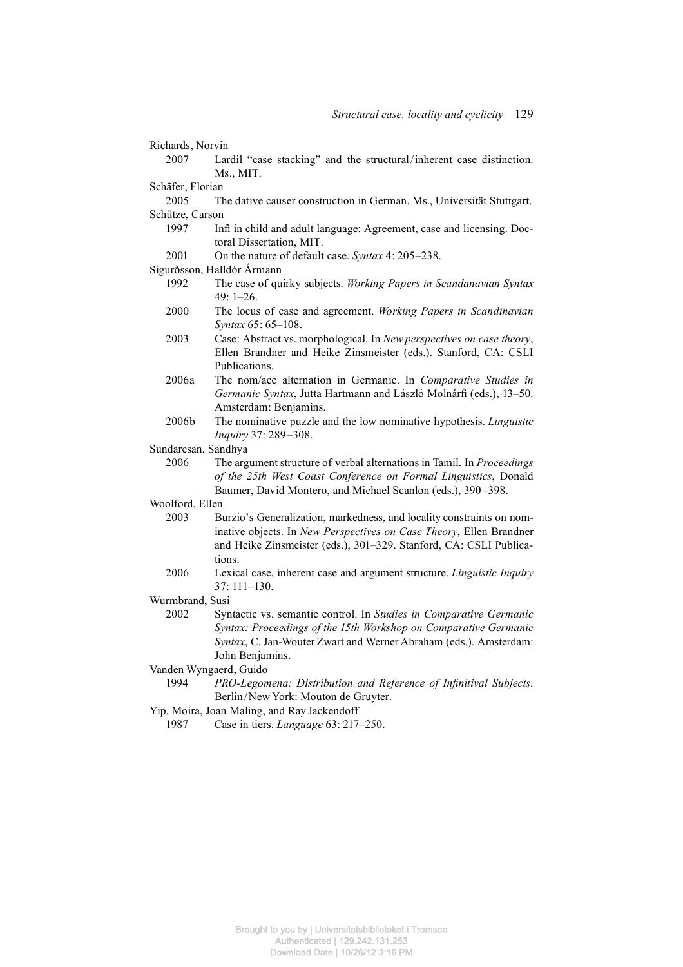Richards, Norvin

- 2007 Lardil "case stacking" and the structural/inherent case distinction. Ms., MIT.
- Schäfer, Florian
- 2005 The dative causer construction in German. Ms., Universität Stuttgart. Schütze, Carson
	- 1997 Infl in child and adult language: Agreement, case and licensing. Doctoral Dissertation, MIT.
	- 2001 On the nature of default case. *Syntax* 4: 205–238.

Sigurðsson, Halldór Ármann

- 1992 The case of quirky subjects. *Working Papers in Scandanavian Syntax*  49: 1–26.
- 2000 The locus of case and agreement. *Working Papers in Scandinavian Syntax* 65: 65–108.
- 2003 Case: Abstract vs. morphological. In *New perspectives on case theory*, Ellen Brandner and Heike Zinsmeister (eds.). Stanford, CA: CSLI Publications.
- 2006a The nom/acc alternation in Germanic. In *Comparative Studies in Germanic Syntax*, Jutta Hartmann and László Molnárfi (eds.), 13–50. Amsterdam: Benjamins.
- 2006b The nominative puzzle and the low nominative hypothesis. *Linguistic Inquiry* 37: 289–308.
- Sundaresan, Sandhya
	- 2006 The argument structure of verbal alternations in Tamil. In *Proceedings of the 25th West Coast Conference on Formal Linguistics*, Donald Baumer, David Montero, and Michael Scanlon (eds.), 390–398.

### Woolford, Ellen

- 2003 Burzio's Generalization, markedness, and locality constraints on nominative objects. In *New Perspectives on Case Theory*, Ellen Brandner and Heike Zinsmeister (eds.), 301–329. Stanford, CA: CSLI Publications.
- 2006 Lexical case, inherent case and argument structure. *Linguistic Inquiry*  37: 111–130.

### Wurmbrand, Susi

- 2002 Syntactic vs. semantic control. In *Studies in Comparative Germanic Syntax: Proceedings of the 15th Workshop on Comparative Germanic Syntax*, C. Jan-Wouter Zwart and Werner Abraham (eds.). Amsterdam: John Benjamins.
- Vanden Wyngaerd, Guido
	- 1994 *PRO-Legomena: Distribution and Reference of Infinitival Subjects*. Berlin /New York: Mouton de Gruyter.
- Yip, Moira, Joan Maling, and Ray Jackendoff
	- 1987 Case in tiers. *Language* 63: 217–250.